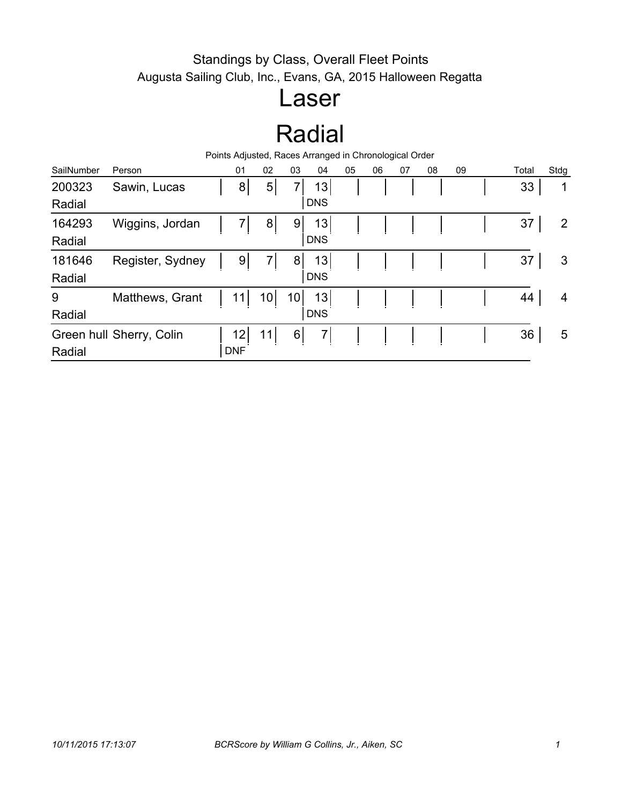#### Standings by Class, Overall Fleet Points Augusta Sailing Club, Inc., Evans, GA, 2015 Halloween Regatta

### Laser

## Radial

| Points Adjusted, Races Arranged in Chronological Order |                          |  |            |                 |          |                |    |    |    |    |    |  |       |                |
|--------------------------------------------------------|--------------------------|--|------------|-----------------|----------|----------------|----|----|----|----|----|--|-------|----------------|
| SailNumber                                             | Person                   |  | 01         | 02              | 03       | 04             | 05 | 06 | 07 | 08 | 09 |  | Total | Stdg           |
| 200323                                                 | Sawin, Lucas             |  | 8          | 5               | 7        | 13             |    |    |    |    |    |  | 33    | 1              |
| Radial                                                 |                          |  |            |                 |          | <b>DNS</b>     |    |    |    |    |    |  |       |                |
| 164293                                                 | Wiggins, Jordan          |  | 7          | 8 <sup>1</sup>  | 9        | 13             |    |    |    |    |    |  | 37    | $\overline{2}$ |
| Radial                                                 |                          |  |            |                 |          | <b>DNS</b>     |    |    |    |    |    |  |       |                |
| 181646                                                 | Register, Sydney         |  | 9          |                 | 8        | 13             |    |    |    |    |    |  | 37    | 3              |
| Radial                                                 |                          |  |            |                 |          | <b>DNS</b>     |    |    |    |    |    |  |       |                |
| 9                                                      | Matthews, Grant          |  | 11         | 10 <sub>1</sub> | 10       | 13             |    |    |    |    |    |  | 44    | 4              |
| Radial                                                 |                          |  |            |                 |          | <b>DNS</b>     |    |    |    |    |    |  |       |                |
|                                                        | Green hull Sherry, Colin |  | 12         | 11              | $6 \mid$ | $\overline{7}$ |    |    |    |    |    |  | 36    | 5              |
| Radial                                                 |                          |  | <b>DNF</b> |                 |          |                |    |    |    |    |    |  |       |                |